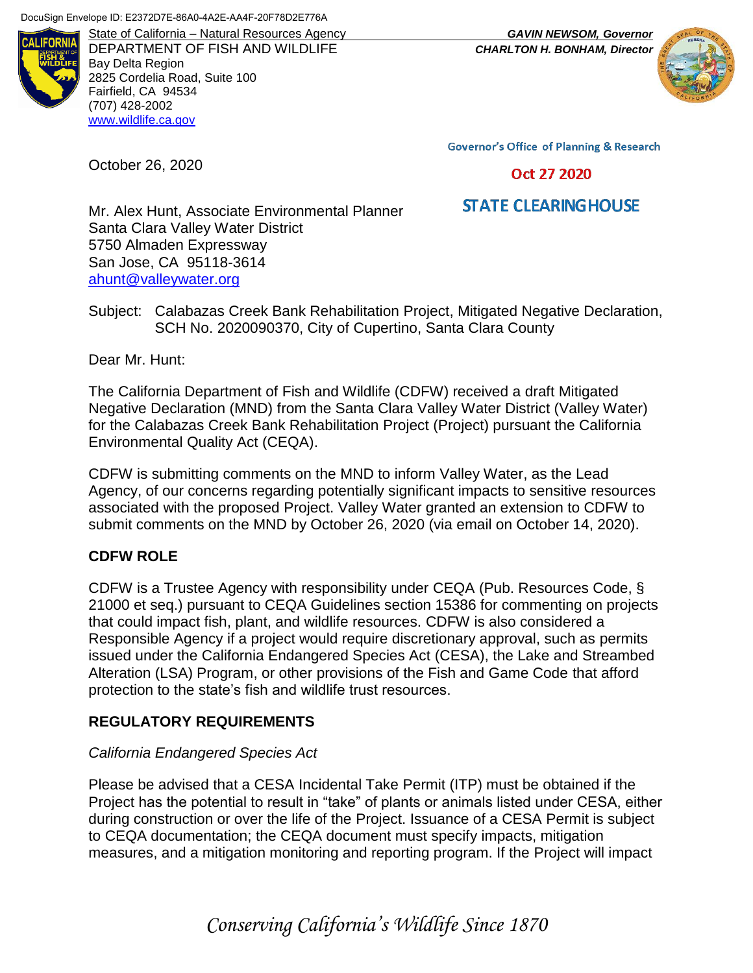

DEPARTMENT OF FISH AND WILDLIFE *CHARLTON H. BONHAM, Director* Bay Delta Region 2825 Cordelia Road, Suite 100 Fairfield, CA 94534 (707) 428-2002 [www.wildlife.ca.gov](http://www.wildlife.ca.gov/)

State of California – Natural Resources Agency *GAVIN NEWSOM, Governor*



**Governor's Office of Planning & Research** 

#### Oct 27 2020

# **STATE CLEARING HOUSE**

Mr. Alex Hunt, Associate Environmental Planner Santa Clara Valley Water District 5750 Almaden Expressway San Jose, CA 95118-3614 [ahunt@valleywater.org](mailto:aperez@townofwindsor.com)

Subject: Calabazas Creek Bank Rehabilitation Project, Mitigated Negative Declaration, SCH No. 2020090370, City of Cupertino, Santa Clara County

Dear Mr. Hunt:

October 26, 2020

The California Department of Fish and Wildlife (CDFW) received a draft Mitigated Negative Declaration (MND) from the Santa Clara Valley Water District (Valley Water) for the Calabazas Creek Bank Rehabilitation Project (Project) pursuant the California Environmental Quality Act (CEQA).

CDFW is submitting comments on the MND to inform Valley Water, as the Lead Agency, of our concerns regarding potentially significant impacts to sensitive resources associated with the proposed Project. Valley Water granted an extension to CDFW to submit comments on the MND by October 26, 2020 (via email on October 14, 2020).

### **CDFW ROLE**

CDFW is a Trustee Agency with responsibility under CEQA (Pub. Resources Code, § 21000 et seq.) pursuant to CEQA Guidelines section 15386 for commenting on projects that could impact fish, plant, and wildlife resources. CDFW is also considered a Responsible Agency if a project would require discretionary approval, such as permits issued under the California Endangered Species Act (CESA), the Lake and Streambed Alteration (LSA) Program, or other provisions of the Fish and Game Code that afford protection to the state's fish and wildlife trust resources.

### **REGULATORY REQUIREMENTS**

#### *California Endangered Species Act*

Please be advised that a CESA Incidental Take Permit (ITP) must be obtained if the Project has the potential to result in "take" of plants or animals listed under CESA, either during construction or over the life of the Project. Issuance of a CESA Permit is subject to CEQA documentation; the CEQA document must specify impacts, mitigation measures, and a mitigation monitoring and reporting program. If the Project will impact

*Conserving California's Wildlife Since 1870*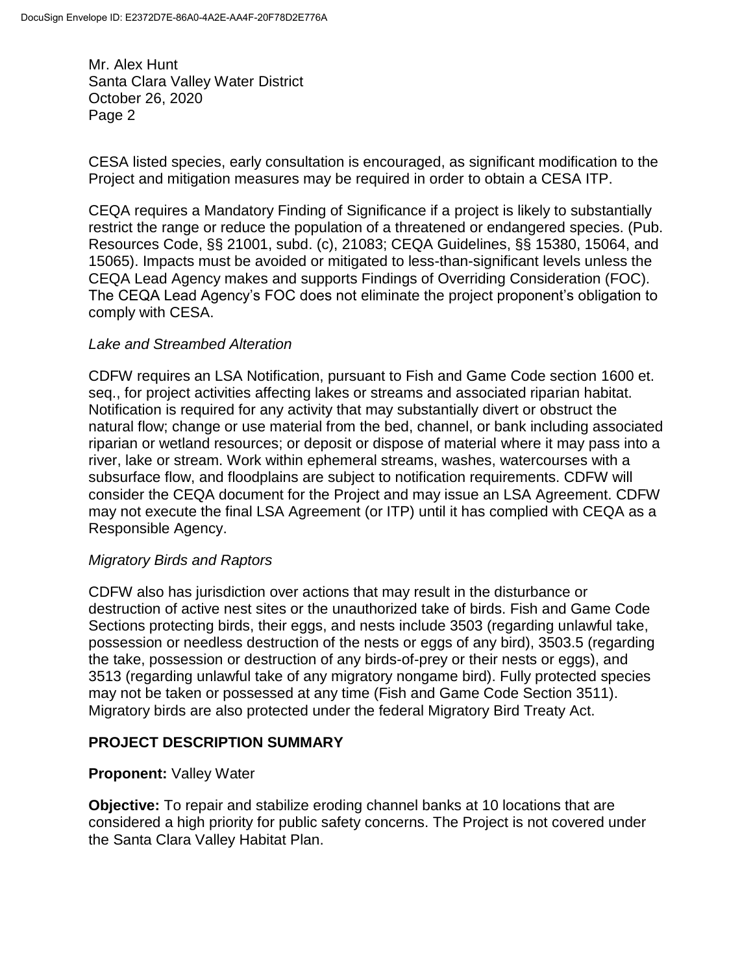CESA listed species, early consultation is encouraged, as significant modification to the Project and mitigation measures may be required in order to obtain a CESA ITP.

CEQA requires a Mandatory Finding of Significance if a project is likely to substantially restrict the range or reduce the population of a threatened or endangered species. (Pub. Resources Code, §§ 21001, subd. (c), 21083; CEQA Guidelines, §§ 15380, 15064, and 15065). Impacts must be avoided or mitigated to less-than-significant levels unless the CEQA Lead Agency makes and supports Findings of Overriding Consideration (FOC). The CEQA Lead Agency's FOC does not eliminate the project proponent's obligation to comply with CESA.

### *Lake and Streambed Alteration*

CDFW requires an LSA Notification, pursuant to Fish and Game Code section 1600 et. seq., for project activities affecting lakes or streams and associated riparian habitat. Notification is required for any activity that may substantially divert or obstruct the natural flow; change or use material from the bed, channel, or bank including associated riparian or wetland resources; or deposit or dispose of material where it may pass into a river, lake or stream. Work within ephemeral streams, washes, watercourses with a subsurface flow, and floodplains are subject to notification requirements. CDFW will consider the CEQA document for the Project and may issue an LSA Agreement. CDFW may not execute the final LSA Agreement (or ITP) until it has complied with CEQA as a Responsible Agency.

### *Migratory Birds and Raptors*

CDFW also has jurisdiction over actions that may result in the disturbance or destruction of active nest sites or the unauthorized take of birds. Fish and Game Code Sections protecting birds, their eggs, and nests include 3503 (regarding unlawful take, possession or needless destruction of the nests or eggs of any bird), 3503.5 (regarding the take, possession or destruction of any birds-of-prey or their nests or eggs), and 3513 (regarding unlawful take of any migratory nongame bird). Fully protected species may not be taken or possessed at any time (Fish and Game Code Section 3511). Migratory birds are also protected under the federal Migratory Bird Treaty Act.

### **PROJECT DESCRIPTION SUMMARY**

### **Proponent:** Valley Water

**Objective:** To repair and stabilize eroding channel banks at 10 locations that are considered a high priority for public safety concerns. The Project is not covered under the Santa Clara Valley Habitat Plan.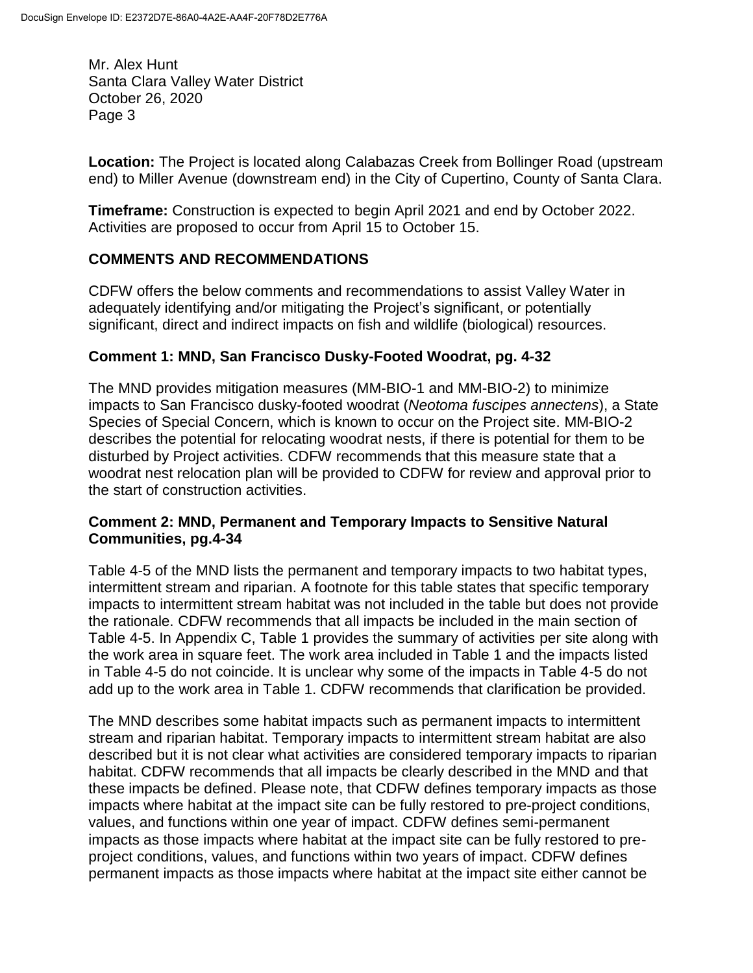**Location:** The Project is located along Calabazas Creek from Bollinger Road (upstream end) to Miller Avenue (downstream end) in the City of Cupertino, County of Santa Clara.

**Timeframe:** Construction is expected to begin April 2021 and end by October 2022. Activities are proposed to occur from April 15 to October 15.

# **COMMENTS AND RECOMMENDATIONS**

CDFW offers the below comments and recommendations to assist Valley Water in adequately identifying and/or mitigating the Project's significant, or potentially significant, direct and indirect impacts on fish and wildlife (biological) resources.

# **Comment 1: MND, San Francisco Dusky-Footed Woodrat, pg. 4-32**

The MND provides mitigation measures (MM-BIO-1 and MM-BIO-2) to minimize impacts to San Francisco dusky-footed woodrat (*Neotoma fuscipes annectens*), a State Species of Special Concern, which is known to occur on the Project site. MM-BIO-2 describes the potential for relocating woodrat nests, if there is potential for them to be disturbed by Project activities. CDFW recommends that this measure state that a woodrat nest relocation plan will be provided to CDFW for review and approval prior to the start of construction activities.

### **Comment 2: MND, Permanent and Temporary Impacts to Sensitive Natural Communities, pg.4-34**

Table 4-5 of the MND lists the permanent and temporary impacts to two habitat types, intermittent stream and riparian. A footnote for this table states that specific temporary impacts to intermittent stream habitat was not included in the table but does not provide the rationale. CDFW recommends that all impacts be included in the main section of Table 4-5. In Appendix C, Table 1 provides the summary of activities per site along with the work area in square feet. The work area included in Table 1 and the impacts listed in Table 4-5 do not coincide. It is unclear why some of the impacts in Table 4-5 do not add up to the work area in Table 1. CDFW recommends that clarification be provided.

The MND describes some habitat impacts such as permanent impacts to intermittent stream and riparian habitat. Temporary impacts to intermittent stream habitat are also described but it is not clear what activities are considered temporary impacts to riparian habitat. CDFW recommends that all impacts be clearly described in the MND and that these impacts be defined. Please note, that CDFW defines temporary impacts as those impacts where habitat at the impact site can be fully restored to pre-project conditions, values, and functions within one year of impact. CDFW defines semi-permanent impacts as those impacts where habitat at the impact site can be fully restored to preproject conditions, values, and functions within two years of impact. CDFW defines permanent impacts as those impacts where habitat at the impact site either cannot be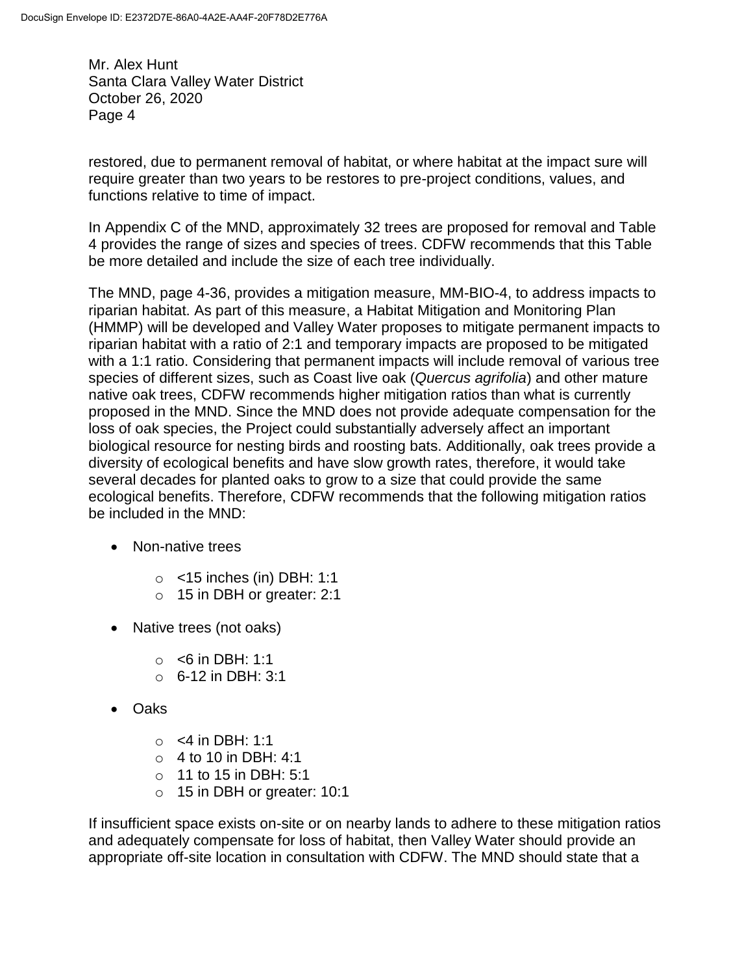restored, due to permanent removal of habitat, or where habitat at the impact sure will require greater than two years to be restores to pre-project conditions, values, and functions relative to time of impact.

In Appendix C of the MND, approximately 32 trees are proposed for removal and Table 4 provides the range of sizes and species of trees. CDFW recommends that this Table be more detailed and include the size of each tree individually.

The MND, page 4-36, provides a mitigation measure, MM-BIO-4, to address impacts to riparian habitat. As part of this measure, a Habitat Mitigation and Monitoring Plan (HMMP) will be developed and Valley Water proposes to mitigate permanent impacts to riparian habitat with a ratio of 2:1 and temporary impacts are proposed to be mitigated with a 1:1 ratio. Considering that permanent impacts will include removal of various tree species of different sizes, such as Coast live oak (*Quercus agrifolia*) and other mature native oak trees, CDFW recommends higher mitigation ratios than what is currently proposed in the MND. Since the MND does not provide adequate compensation for the loss of oak species, the Project could substantially adversely affect an important biological resource for nesting birds and roosting bats. Additionally, oak trees provide a diversity of ecological benefits and have slow growth rates, therefore, it would take several decades for planted oaks to grow to a size that could provide the same ecological benefits. Therefore, CDFW recommends that the following mitigation ratios be included in the MND:

- Non-native trees
	- $\circ$  <15 inches (in) DBH: 1:1
	- o 15 in DBH or greater: 2:1
- Native trees (not oaks)
	- $\circ$  <6 in DBH: 1:1
	- $O_6$  6-12 in DBH: 3:1
- Oaks
	- $\circ$  <4 in DBH: 1:1
	- $\circ$  4 to 10 in DBH: 4:1
	- $\circ$  11 to 15 in DBH: 5:1
	- o 15 in DBH or greater: 10:1

If insufficient space exists on-site or on nearby lands to adhere to these mitigation ratios and adequately compensate for loss of habitat, then Valley Water should provide an appropriate off-site location in consultation with CDFW. The MND should state that a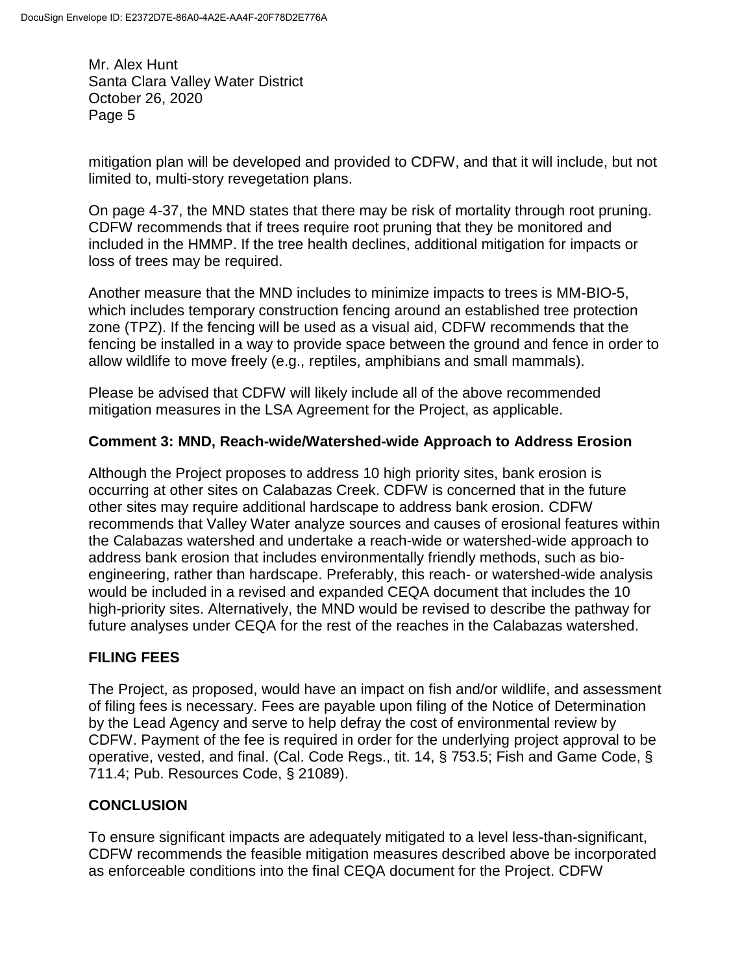mitigation plan will be developed and provided to CDFW, and that it will include, but not limited to, multi-story revegetation plans.

On page 4-37, the MND states that there may be risk of mortality through root pruning. CDFW recommends that if trees require root pruning that they be monitored and included in the HMMP. If the tree health declines, additional mitigation for impacts or loss of trees may be required.

Another measure that the MND includes to minimize impacts to trees is MM-BIO-5, which includes temporary construction fencing around an established tree protection zone (TPZ). If the fencing will be used as a visual aid, CDFW recommends that the fencing be installed in a way to provide space between the ground and fence in order to allow wildlife to move freely (e.g., reptiles, amphibians and small mammals).

Please be advised that CDFW will likely include all of the above recommended mitigation measures in the LSA Agreement for the Project, as applicable.

### **Comment 3: MND, Reach-wide/Watershed-wide Approach to Address Erosion**

Although the Project proposes to address 10 high priority sites, bank erosion is occurring at other sites on Calabazas Creek. CDFW is concerned that in the future other sites may require additional hardscape to address bank erosion. CDFW recommends that Valley Water analyze sources and causes of erosional features within the Calabazas watershed and undertake a reach-wide or watershed-wide approach to address bank erosion that includes environmentally friendly methods, such as bioengineering, rather than hardscape. Preferably, this reach- or watershed-wide analysis would be included in a revised and expanded CEQA document that includes the 10 high-priority sites. Alternatively, the MND would be revised to describe the pathway for future analyses under CEQA for the rest of the reaches in the Calabazas watershed.

# **FILING FEES**

The Project, as proposed, would have an impact on fish and/or wildlife, and assessment of filing fees is necessary. Fees are payable upon filing of the Notice of Determination by the Lead Agency and serve to help defray the cost of environmental review by CDFW. Payment of the fee is required in order for the underlying project approval to be operative, vested, and final. (Cal. Code Regs., tit. 14, § 753.5; Fish and Game Code, § 711.4; Pub. Resources Code, § 21089).

# **CONCLUSION**

To ensure significant impacts are adequately mitigated to a level less-than-significant, CDFW recommends the feasible mitigation measures described above be incorporated as enforceable conditions into the final CEQA document for the Project. CDFW